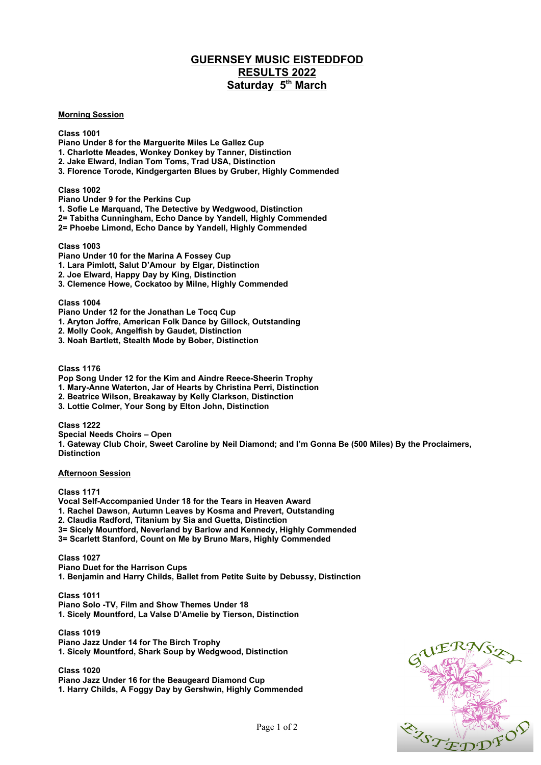## **GUERNSEY MUSIC EISTEDDFOD RESULTS 2022** Saturday 5<sup>th</sup> March

**Morning Session**

**Class 1001**

**Piano Under 8 for the Marguerite Miles Le Gallez Cup**

**1. Charlotte Meades, Wonkey Donkey by Tanner, Distinction**

- **2. Jake Elward, Indian Tom Toms, Trad USA, Distinction**
- **3. Florence Torode, Kindgergarten Blues by Gruber, Highly Commended**

**Class 1002**

**Piano Under 9 for the Perkins Cup**

**1. Sofie Le Marquand, The Detective by Wedgwood, Distinction**

**2= Tabitha Cunningham, Echo Dance by Yandell, Highly Commended**

**2= Phoebe Limond, Echo Dance by Yandell, Highly Commended**

**Class 1003**

**Piano Under 10 for the Marina A Fossey Cup**

**1. Lara Pimlott, Salut D'Amour by Elgar, Distinction**

**2. Joe Elward, Happy Day by King, Distinction**

**3. Clemence Howe, Cockatoo by Milne, Highly Commended**

**Class 1004**

**Piano Under 12 for the Jonathan Le Tocq Cup**

**1. Aryton Joffre, American Folk Dance by Gillock, Outstanding**

**2. Molly Cook, Angelfish by Gaudet, Distinction**

**3. Noah Bartlett, Stealth Mode by Bober, Distinction**

**Class 1176**

**Pop Song Under 12 for the Kim and Aindre Reece-Sheerin Trophy**

**1. Mary-Anne Waterton, Jar of Hearts by Christina Perri, Distinction**

**2. Beatrice Wilson, Breakaway by Kelly Clarkson, Distinction**

**3. Lottie Colmer, Your Song by Elton John, Distinction**

**Class 1222 Special Needs Choirs – Open 1. Gateway Club Choir, Sweet Caroline by Neil Diamond; and I'm Gonna Be (500 Miles) By the Proclaimers, Distinction**

**Afternoon Session**

**Class 1171 Vocal Self-Accompanied Under 18 for the Tears in Heaven Award 1. Rachel Dawson, Autumn Leaves by Kosma and Prevert, Outstanding 2. Claudia Radford, Titanium by Sia and Guetta, Distinction 3= Sicely Mountford, Neverland by Barlow and Kennedy, Highly Commended 3= Scarlett Stanford, Count on Me by Bruno Mars, Highly Commended**

**Class 1027 Piano Duet for the Harrison Cups 1. Benjamin and Harry Childs, Ballet from Petite Suite by Debussy, Distinction**

**Class 1011 Piano Solo -TV, Film and Show Themes Under 18 1. Sicely Mountford, La Valse D'Amelie by Tierson, Distinction**

**Class 1019 Piano Jazz Under 14 for The Birch Trophy 1. Sicely Mountford, Shark Soup by Wedgwood, Distinction**

**Class 1020 Piano Jazz Under 16 for the Beaugeard Diamond Cup 1. Harry Childs, A Foggy Day by Gershwin, Highly Commended**